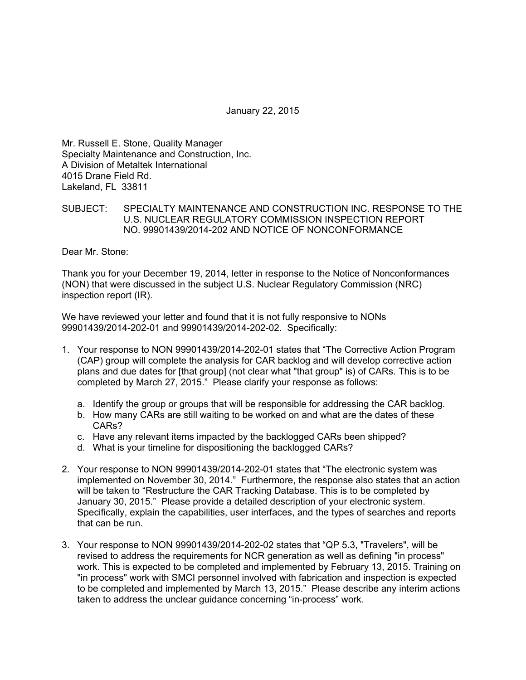January 22, 2015

Mr. Russell E. Stone, Quality Manager Specialty Maintenance and Construction, Inc. A Division of Metaltek International 4015 Drane Field Rd. Lakeland, FL 33811

# SUBJECT: SPECIALTY MAINTENANCE AND CONSTRUCTION INC. RESPONSE TO THE U.S. NUCLEAR REGULATORY COMMISSION INSPECTION REPORT NO. 99901439/2014-202 AND NOTICE OF NONCONFORMANCE

Dear Mr. Stone:

Thank you for your December 19, 2014, letter in response to the Notice of Nonconformances (NON) that were discussed in the subject U.S. Nuclear Regulatory Commission (NRC) inspection report (IR).

We have reviewed your letter and found that it is not fully responsive to NONs 99901439/2014-202-01 and 99901439/2014-202-02. Specifically:

- 1. Your response to NON 99901439/2014-202-01 states that "The Corrective Action Program (CAP) group will complete the analysis for CAR backlog and will develop corrective action plans and due dates for [that group] (not clear what "that group" is) of CARs. This is to be completed by March 27, 2015." Please clarify your response as follows:
	- a. Identify the group or groups that will be responsible for addressing the CAR backlog.
	- b. How many CARs are still waiting to be worked on and what are the dates of these CARs?
	- c. Have any relevant items impacted by the backlogged CARs been shipped?
	- d. What is your timeline for dispositioning the backlogged CARs?
- 2. Your response to NON 99901439/2014-202-01 states that "The electronic system was implemented on November 30, 2014." Furthermore, the response also states that an action will be taken to "Restructure the CAR Tracking Database. This is to be completed by January 30, 2015." Please provide a detailed description of your electronic system. Specifically, explain the capabilities, user interfaces, and the types of searches and reports that can be run.
- 3. Your response to NON 99901439/2014-202-02 states that "QP 5.3, "Travelers", will be revised to address the requirements for NCR generation as well as defining "in process" work. This is expected to be completed and implemented by February 13, 2015. Training on "in process" work with SMCI personnel involved with fabrication and inspection is expected to be completed and implemented by March 13, 2015." Please describe any interim actions taken to address the unclear guidance concerning "in-process" work.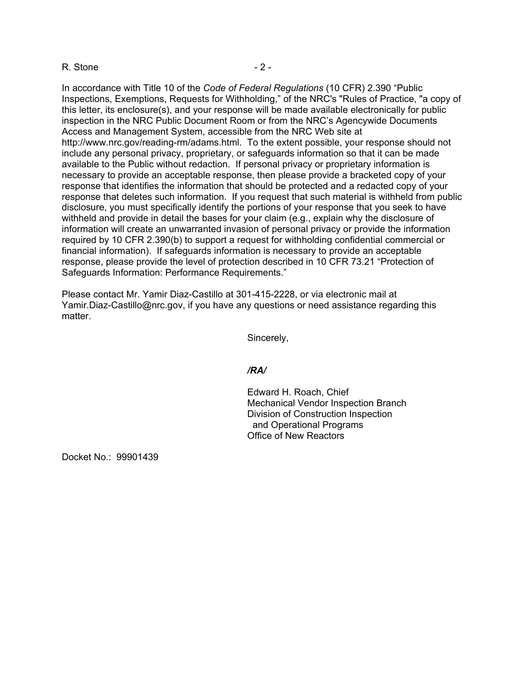### R. Stone  $-2 -$

In accordance with Title 10 of the *Code of Federal Regulations* (10 CFR) 2.390 "Public Inspections, Exemptions, Requests for Withholding," of the NRC's "Rules of Practice, "a copy of this letter, its enclosure(s), and your response will be made available electronically for public inspection in the NRC Public Document Room or from the NRC's Agencywide Documents Access and Management System, accessible from the NRC Web site at http://www.nrc.gov/reading-rm/adams.html. To the extent possible, your response should not include any personal privacy, proprietary, or safeguards information so that it can be made available to the Public without redaction. If personal privacy or proprietary information is necessary to provide an acceptable response, then please provide a bracketed copy of your response that identifies the information that should be protected and a redacted copy of your response that deletes such information. If you request that such material is withheld from public disclosure, you must specifically identify the portions of your response that you seek to have withheld and provide in detail the bases for your claim (e.g., explain why the disclosure of information will create an unwarranted invasion of personal privacy or provide the information required by 10 CFR 2.390(b) to support a request for withholding confidential commercial or financial information). If safeguards information is necessary to provide an acceptable response, please provide the level of protection described in 10 CFR 73.21 "Protection of Safeguards Information: Performance Requirements."

Please contact Mr. Yamir Diaz-Castillo at 301-415-2228, or via electronic mail at Yamir.Diaz-Castillo@nrc.gov, if you have any questions or need assistance regarding this matter.

Sincerely,

#### */RA/*

Edward H. Roach, Chief Mechanical Vendor Inspection Branch Division of Construction Inspection and Operational Programs Office of New Reactors

Docket No.: 99901439